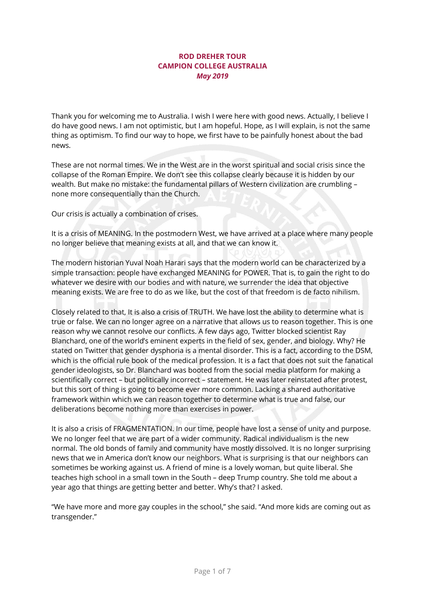## **ROD DREHER TOUR CAMPION COLLEGE AUSTRALIA** *May 2019*

Thank you for welcoming me to Australia. I wish I were here with good news. Actually, I believe I do have good news. I am not optimistic, but I am hopeful. Hope, as I will explain, is not the same thing as optimism. To find our way to hope, we first have to be painfully honest about the bad news.

These are not normal times. We in the West are in the worst spiritual and social crisis since the collapse of the Roman Empire. We don't see this collapse clearly because it is hidden by our wealth. But make no mistake: the fundamental pillars of Western civilization are crumbling – none more consequentially than the Church.

Our crisis is actually a combination of crises.

It is a crisis of MEANING. In the postmodern West, we have arrived at a place where many people no longer believe that meaning exists at all, and that we can know it.

The modern historian Yuval Noah Harari says that the modern world can be characterized by a simple transaction: people have exchanged MEANING for POWER. That is, to gain the right to do whatever we desire with our bodies and with nature, we surrender the idea that objective meaning exists. We are free to do as we like, but the cost of that freedom is de facto nihilism.

Closely related to that, It is also a crisis of TRUTH. We have lost the ability to determine what is true or false. We can no longer agree on a narrative that allows us to reason together. This is one reason why we cannot resolve our conflicts. A few days ago, Twitter blocked scientist Ray Blanchard, one of the world's eminent experts in the field of sex, gender, and biology. Why? He stated on Twitter that gender dysphoria is a mental disorder. This is a fact, according to the DSM, which is the official rule book of the medical profession. It is a fact that does not suit the fanatical gender ideologists, so Dr. Blanchard was booted from the social media platform for making a scientifically correct – but politically incorrect – statement. He was later reinstated after protest, but this sort of thing is going to become ever more common. Lacking a shared authoritative framework within which we can reason together to determine what is true and false, our deliberations become nothing more than exercises in power.

It is also a crisis of FRAGMENTATION. In our time, people have lost a sense of unity and purpose. We no longer feel that we are part of a wider community. Radical individualism is the new normal. The old bonds of family and community have mostly dissolved. It is no longer surprising news that we in America don't know our neighbors. What is surprising is that our neighbors can sometimes be working against us. A friend of mine is a lovely woman, but quite liberal. She teaches high school in a small town in the South – deep Trump country. She told me about a year ago that things are getting better and better. Why's that? I asked.

"We have more and more gay couples in the school," she said. "And more kids are coming out as transgender."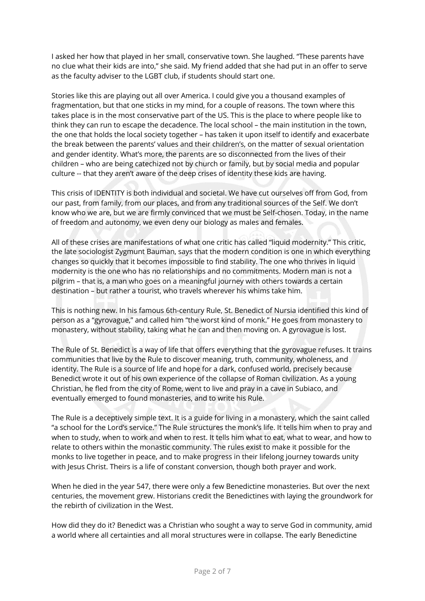I asked her how that played in her small, conservative town. She laughed. "These parents have no clue what their kids are into," she said. My friend added that she had put in an offer to serve as the faculty adviser to the LGBT club, if students should start one.

Stories like this are playing out all over America. I could give you a thousand examples of fragmentation, but that one sticks in my mind, for a couple of reasons. The town where this takes place is in the most conservative part of the US. This is the place to where people like to think they can run to escape the decadence. The local school – the main institution in the town, the one that holds the local society together – has taken it upon itself to identify and exacerbate the break between the parents' values and their children's, on the matter of sexual orientation and gender identity. What's more, the parents are so disconnected from the lives of their children – who are being catechized not by church or family, but by social media and popular culture -- that they aren't aware of the deep crises of identity these kids are having.

This crisis of IDENTITY is both individual and societal. We have cut ourselves off from God, from our past, from family, from our places, and from any traditional sources of the Self. We don't know who we are, but we are firmly convinced that we must be Self-chosen. Today, in the name of freedom and autonomy, we even deny our biology as males and females.

All of these crises are manifestations of what one critic has called "liquid modernity." This critic, the late sociologist Zygmunt Bauman, says that the modern condition is one in which everything changes so quickly that it becomes impossible to find stability. The one who thrives in liquid modernity is the one who has no relationships and no commitments. Modern man is not a pilgrim – that is, a man who goes on a meaningful journey with others towards a certain destination – but rather a tourist, who travels wherever his whims take him.

This is nothing new. In his famous 6th-century Rule, St. Benedict of Nursia identified this kind of person as a "gyrovague," and called him "the worst kind of monk." He goes from monastery to monastery, without stability, taking what he can and then moving on. A gyrovague is lost.

The Rule of St. Benedict is a way of life that offers everything that the gyrovague refuses. It trains communities that live by the Rule to discover meaning, truth, community, wholeness, and identity. The Rule is a source of life and hope for a dark, confused world, precisely because Benedict wrote it out of his own experience of the collapse of Roman civilization. As a young Christian, he fled from the city of Rome, went to live and pray in a cave in Subiaco, and eventually emerged to found monasteries, and to write his Rule.

The Rule is a deceptively simple text. It is a guide for living in a monastery, which the saint called "a school for the Lord's service." The Rule structures the monk's life. It tells him when to pray and when to study, when to work and when to rest. It tells him what to eat, what to wear, and how to relate to others within the monastic community. The rules exist to make it possible for the monks to live together in peace, and to make progress in their lifelong journey towards unity with Jesus Christ. Theirs is a life of constant conversion, though both prayer and work.

When he died in the year 547, there were only a few Benedictine monasteries. But over the next centuries, the movement grew. Historians credit the Benedictines with laying the groundwork for the rebirth of civilization in the West.

How did they do it? Benedict was a Christian who sought a way to serve God in community, amid a world where all certainties and all moral structures were in collapse. The early Benedictine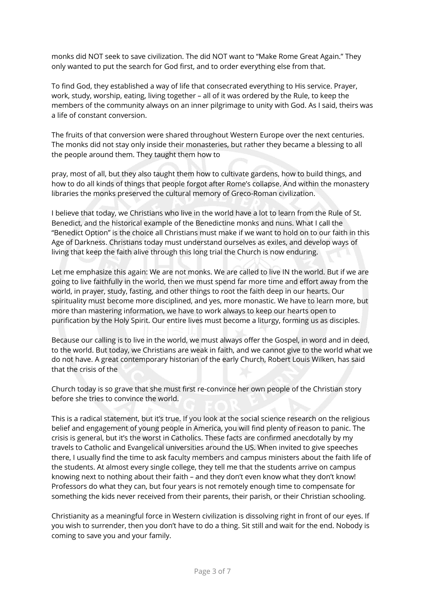monks did NOT seek to save civilization. The did NOT want to "Make Rome Great Again." They only wanted to put the search for God first, and to order everything else from that.

To find God, they established a way of life that consecrated everything to His service. Prayer, work, study, worship, eating, living together – all of it was ordered by the Rule, to keep the members of the community always on an inner pilgrimage to unity with God. As I said, theirs was a life of constant conversion.

The fruits of that conversion were shared throughout Western Europe over the next centuries. The monks did not stay only inside their monasteries, but rather they became a blessing to all the people around them. They taught them how to

pray, most of all, but they also taught them how to cultivate gardens, how to build things, and how to do all kinds of things that people forgot after Rome's collapse. And within the monastery libraries the monks preserved the cultural memory of Greco-Roman civilization.

I believe that today, we Christians who live in the world have a lot to learn from the Rule of St. Benedict, and the historical example of the Benedictine monks and nuns. What I call the "Benedict Option" is the choice all Christians must make if we want to hold on to our faith in this Age of Darkness. Christians today must understand ourselves as exiles, and develop ways of living that keep the faith alive through this long trial the Church is now enduring.

Let me emphasize this again: We are not monks. We are called to live IN the world. But if we are going to live faithfully in the world, then we must spend far more time and effort away from the world, in prayer, study, fasting, and other things to root the faith deep in our hearts. Our spirituality must become more disciplined, and yes, more monastic. We have to learn more, but more than mastering information, we have to work always to keep our hearts open to purification by the Holy Spirit. Our entire lives must become a liturgy, forming us as disciples.

Because our calling is to live in the world, we must always offer the Gospel, in word and in deed, to the world. But today, we Christians are weak in faith, and we cannot give to the world what we do not have. A great contemporary historian of the early Church, Robert Louis Wilken, has said that the crisis of the

Church today is so grave that she must first re-convince her own people of the Christian story before she tries to convince the world.

This is a radical statement, but it's true. If you look at the social science research on the religious belief and engagement of young people in America, you will find plenty of reason to panic. The crisis is general, but it's the worst in Catholics. These facts are confirmed anecdotally by my travels to Catholic and Evangelical universities around the US. When invited to give speeches there, I usually find the time to ask faculty members and campus ministers about the faith life of the students. At almost every single college, they tell me that the students arrive on campus knowing next to nothing about their faith – and they don't even know what they don't know! Professors do what they can, but four years is not remotely enough time to compensate for something the kids never received from their parents, their parish, or their Christian schooling.

Christianity as a meaningful force in Western civilization is dissolving right in front of our eyes. If you wish to surrender, then you don't have to do a thing. Sit still and wait for the end. Nobody is coming to save you and your family.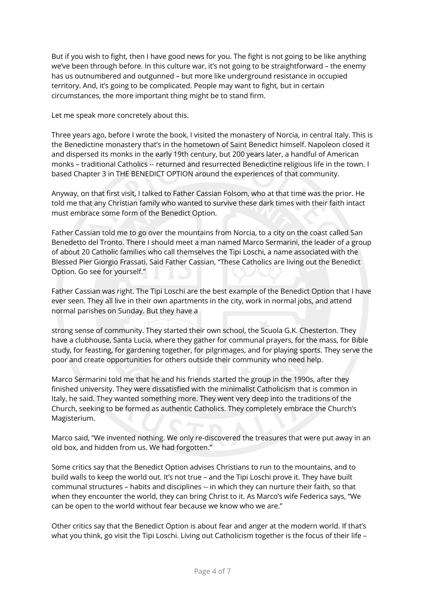But if you wish to fight, then I have good news for you. The fight is not going to be like anything we've been through before. In this culture war, it's not going to be straightforward – the enemy has us outnumbered and outgunned – but more like underground resistance in occupied territory. And, it's going to be complicated. People may want to fight, but in certain circumstances, the more important thing might be to stand firm.

Let me speak more concretely about this.

Three years ago, before I wrote the book, I visited the monastery of Norcia, in central Italy. This is the Benedictine monastery that's in the hometown of Saint Benedict himself. Napoleon closed it and dispersed its monks in the early 19th century, but 200 years later, a handful of American monks – traditional Catholics -- returned and resurrected Benedictine religious life in the town. I based Chapter 3 in THE BENEDICT OPTION around the experiences of that community.

Anyway, on that first visit, I talked to Father Cassian Folsom, who at that time was the prior. He told me that any Christian family who wanted to survive these dark times with their faith intact must embrace some form of the Benedict Option.

Father Cassian told me to go over the mountains from Norcia, to a city on the coast called San Benedetto del Tronto. There I should meet a man named Marco Sermarini, the leader of a group of about 20 Catholic families who call themselves the Tipi Loschi, a name associated with the Blessed Pier Giorgio Frassati. Said Father Cassian, "These Catholics are living out the Benedict Option. Go see for yourself."

Father Cassian was right. The Tipi Loschi are the best example of the Benedict Option that I have ever seen. They all live in their own apartments in the city, work in normal jobs, and attend normal parishes on Sunday. But they have a

strong sense of community. They started their own school, the Scuola G.K. Chesterton. They have a clubhouse, Santa Lucia, where they gather for communal prayers, for the mass, for Bible study, for feasting, for gardening together, for pilgrimages, and for playing sports. They serve the poor and create opportunities for others outside their community who need help.

Marco Sermarini told me that he and his friends started the group in the 1990s, after they finished university. They were dissatisfied with the minimalist Catholicism that is common in Italy, he said. They wanted something more. They went very deep into the traditions of the Church, seeking to be formed as authentic Catholics. They completely embrace the Church's Magisterium.

Marco said, "We invented nothing. We only re-discovered the treasures that were put away in an old box, and hidden from us. We had forgotten."

Some critics say that the Benedict Option advises Christians to run to the mountains, and to build walls to keep the world out. It's not true – and the Tipi Loschi prove it. They have built communal structures – habits and disciplines -- in which they can nurture their faith, so that when they encounter the world, they can bring Christ to it. As Marco's wife Federica says, "We can be open to the world without fear because we know who we are."

Other critics say that the Benedict Option is about fear and anger at the modern world. If that's what you think, go visit the Tipi Loschi. Living out Catholicism together is the focus of their life –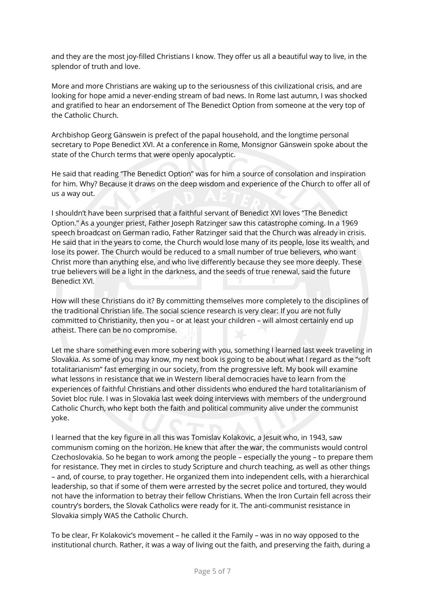and they are the most joy-filled Christians I know. They offer us all a beautiful way to live, in the splendor of truth and love.

More and more Christians are waking up to the seriousness of this civilizational crisis, and are looking for hope amid a never-ending stream of bad news. In Rome last autumn, I was shocked and gratified to hear an endorsement of The Benedict Option from someone at the very top of the Catholic Church.

Archbishop Georg Gänswein is prefect of the papal household, and the longtime personal secretary to Pope Benedict XVI. At a conference in Rome, Monsignor Gänswein spoke about the state of the Church terms that were openly apocalyptic.

He said that reading "The Benedict Option" was for him a source of consolation and inspiration for him. Why? Because it draws on the deep wisdom and experience of the Church to offer all of us a way out.

I shouldn't have been surprised that a faithful servant of Benedict XVI loves "The Benedict Option." As a younger priest, Father Joseph Ratzinger saw this catastrophe coming. In a 1969 speech broadcast on German radio, Father Ratzinger said that the Church was already in crisis. He said that in the years to come, the Church would lose many of its people, lose its wealth, and lose its power. The Church would be reduced to a small number of true believers, who want Christ more than anything else, and who live differently because they see more deeply. These true believers will be a light in the darkness, and the seeds of true renewal, said the future Benedict XVI.

How will these Christians do it? By committing themselves more completely to the disciplines of the traditional Christian life. The social science research is very clear: If you are not fully committed to Christianity, then you – or at least your children – will almost certainly end up atheist. There can be no compromise.

Let me share something even more sobering with you, something I learned last week traveling in Slovakia. As some of you may know, my next book is going to be about what I regard as the "soft totalitarianism" fast emerging in our society, from the progressive left. My book will examine what lessons in resistance that we in Western liberal democracies have to learn from the experiences of faithful Christians and other dissidents who endured the hard totalitarianism of Soviet bloc rule. I was in Slovakia last week doing interviews with members of the underground Catholic Church, who kept both the faith and political community alive under the communist yoke.

I learned that the key figure in all this was Tomislav Kolakovic, a Jesuit who, in 1943, saw communism coming on the horizon. He knew that after the war, the communists would control Czechoslovakia. So he began to work among the people – especially the young – to prepare them for resistance. They met in circles to study Scripture and church teaching, as well as other things – and, of course, to pray together. He organized them into independent cells, with a hierarchical leadership, so that if some of them were arrested by the secret police and tortured, they would not have the information to betray their fellow Christians. When the Iron Curtain fell across their country's borders, the Slovak Catholics were ready for it. The anti-communist resistance in Slovakia simply WAS the Catholic Church.

To be clear, Fr Kolakovic's movement – he called it the Family – was in no way opposed to the institutional church. Rather, it was a way of living out the faith, and preserving the faith, during a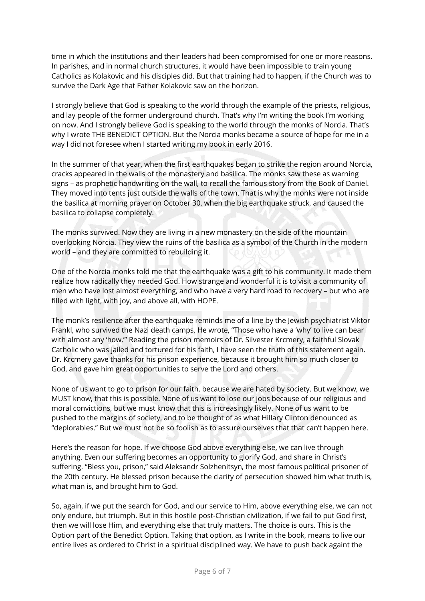time in which the institutions and their leaders had been compromised for one or more reasons. In parishes, and in normal church structures, it would have been impossible to train young Catholics as Kolakovic and his disciples did. But that training had to happen, if the Church was to survive the Dark Age that Father Kolakovic saw on the horizon.

I strongly believe that God is speaking to the world through the example of the priests, religious, and lay people of the former underground church. That's why I'm writing the book I'm working on now. And I strongly believe God is speaking to the world through the monks of Norcia. That's why I wrote THE BENEDICT OPTION. But the Norcia monks became a source of hope for me in a way I did not foresee when I started writing my book in early 2016.

In the summer of that year, when the first earthquakes began to strike the region around Norcia, cracks appeared in the walls of the monastery and basilica. The monks saw these as warning signs – as prophetic handwriting on the wall, to recall the famous story from the Book of Daniel. They moved into tents just outside the walls of the town. That is why the monks were not inside the basilica at morning prayer on October 30, when the big earthquake struck, and caused the basilica to collapse completely.

The monks survived. Now they are living in a new monastery on the side of the mountain overlooking Norcia. They view the ruins of the basilica as a symbol of the Church in the modern world – and they are committed to rebuilding it.

One of the Norcia monks told me that the earthquake was a gift to his community. It made them realize how radically they needed God. How strange and wonderful it is to visit a community of men who have lost almost everything, and who have a very hard road to recovery – but who are filled with light, with joy, and above all, with HOPE.

The monk's resilience after the earthquake reminds me of a line by the Jewish psychiatrist Viktor Frankl, who survived the Nazi death camps. He wrote, "Those who have a 'why' to live can bear with almost any 'how.'" Reading the prison memoirs of Dr. Silvester Krcmery, a faithful Slovak Catholic who was jailed and tortured for his faith, I have seen the truth of this statement again. Dr. Krcmery gave thanks for his prison experience, because it brought him so much closer to God, and gave him great opportunities to serve the Lord and others.

None of us want to go to prison for our faith, because we are hated by society. But we know, we MUST know, that this is possible. None of us want to lose our jobs because of our religious and moral convictions, but we must know that this is increasingly likely. None of us want to be pushed to the margins of society, and to be thought of as what Hillary Clinton denounced as "deplorables." But we must not be so foolish as to assure ourselves that that can't happen here.

Here's the reason for hope. If we choose God above everything else, we can live through anything. Even our suffering becomes an opportunity to glorify God, and share in Christ's suffering. "Bless you, prison," said Aleksandr Solzhenitsyn, the most famous political prisoner of the 20th century. He blessed prison because the clarity of persecution showed him what truth is, what man is, and brought him to God.

So, again, if we put the search for God, and our service to Him, above everything else, we can not only endure, but triumph. But in this hostile post-Christian civilization, if we fail to put God first, then we will lose Him, and everything else that truly matters. The choice is ours. This is the Option part of the Benedict Option. Taking that option, as I write in the book, means to live our entire lives as ordered to Christ in a spiritual disciplined way. We have to push back againt the